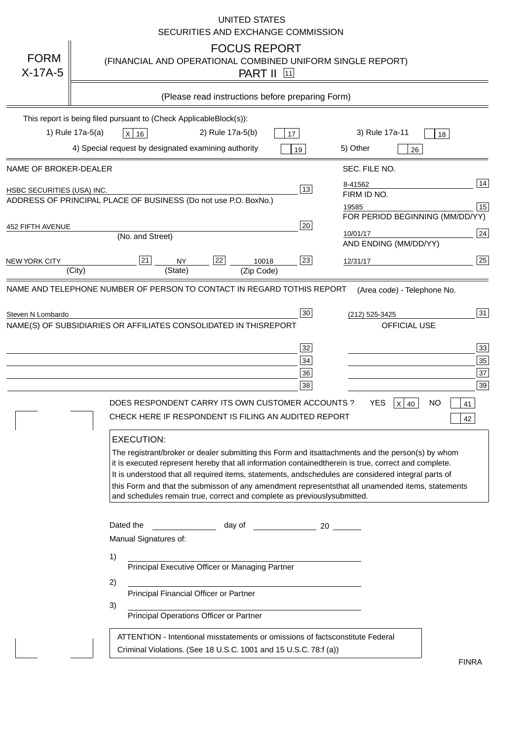|                                   | <b>UNITED STATES</b><br>SECURITIES AND EXCHANGE COMMISSION                                                                                                                                                                                                                                                                                                                                                                                                                                                                                                                                                                                                                                                                                                                                                                                                               |
|-----------------------------------|--------------------------------------------------------------------------------------------------------------------------------------------------------------------------------------------------------------------------------------------------------------------------------------------------------------------------------------------------------------------------------------------------------------------------------------------------------------------------------------------------------------------------------------------------------------------------------------------------------------------------------------------------------------------------------------------------------------------------------------------------------------------------------------------------------------------------------------------------------------------------|
| <b>FORM</b><br>$X-17A-5$          | <b>FOCUS REPORT</b><br>(FINANCIAL AND OPERATIONAL COMBINED UNIFORM SINGLE REPORT)<br><b>PART II</b> 11                                                                                                                                                                                                                                                                                                                                                                                                                                                                                                                                                                                                                                                                                                                                                                   |
|                                   | (Please read instructions before preparing Form)                                                                                                                                                                                                                                                                                                                                                                                                                                                                                                                                                                                                                                                                                                                                                                                                                         |
|                                   | This report is being filed pursuant to (Check Applicable<br>$Block(s)$ :<br>3) Rule 17a-11<br>1) Rule 17a-5(a)<br>2) Rule 17a-5(b)<br>$X$ 16<br>17<br>18<br>4) Special request by designated examining authority<br>5) Other<br>19<br>26                                                                                                                                                                                                                                                                                                                                                                                                                                                                                                                                                                                                                                 |
| NAME OF BROKER-DEALER             | SEC. FILE NO.                                                                                                                                                                                                                                                                                                                                                                                                                                                                                                                                                                                                                                                                                                                                                                                                                                                            |
| <b>HSBC SECURITIES (USA) INC.</b> | 14<br>8-41562<br>13<br>FIRM ID NO.<br>ADDRESS OF PRINCIPAL PLACE OF BUSINESS (Do not use P.O. Box<br>No.)<br>15<br>19585<br>FOR PERIOD BEGINNING (MM/DD/YY)                                                                                                                                                                                                                                                                                                                                                                                                                                                                                                                                                                                                                                                                                                              |
| <b>452 FIFTH AVENUE</b>           | 20<br>24<br>10/01/17<br>(No. and Street)<br>AND ENDING (MM/DD/YY)                                                                                                                                                                                                                                                                                                                                                                                                                                                                                                                                                                                                                                                                                                                                                                                                        |
| <b>NEW YORK CITY</b>              | 25<br>22<br>21<br>23<br><b>NY</b><br>10018<br>12/31/17<br>(City)<br>(State)<br>(Zip Code)                                                                                                                                                                                                                                                                                                                                                                                                                                                                                                                                                                                                                                                                                                                                                                                |
|                                   | NAME(S) OF SUBSIDIARIES OR AFFILIATES CONSOLIDATED IN THIS<br><b>REPORT</b><br><b>OFFICIAL USE</b><br>$\overline{33}$<br>32<br>35<br>34<br>37<br>36<br>39<br>38<br>DOES RESPONDENT CARRY ITS OWN CUSTOMER ACCOUNTS?<br><b>YES</b><br>$X$ 40<br><b>NO</b><br>41<br>CHECK HERE IF RESPONDENT IS FILING AN AUDITED REPORT<br>42<br><b>EXECUTION:</b><br>The registrant/broker or dealer submitting this Form and its<br>attachments and the person(s) by whom<br>it is executed represent hereby that all information contained<br>therein is true, correct and complete.<br>It is understood that all required items, statements, and<br>schedules are considered integral parts of<br>this Form and that the submisson of any amendment represents<br>that all unamended items, statements<br>and schedules remain true, correct and complete as previously<br>submitted. |
|                                   | Dated the<br>day of<br>20<br>Manual Signatures of:<br>1)<br>Principal Executive Officer or Managing Partner<br>2)<br>Principal Financial Officer or Partner<br>3)<br>Principal Operations Officer or Partner                                                                                                                                                                                                                                                                                                                                                                                                                                                                                                                                                                                                                                                             |
|                                   | ATTENTION - Intentional misstatements or omissions of facts<br>constitute Federal<br>Criminal Violations. (See 18 U.S.C. 1001 and 15 U.S.C. 78:f (a)<br>$\lambda$<br><b>FINRA</b>                                                                                                                                                                                                                                                                                                                                                                                                                                                                                                                                                                                                                                                                                        |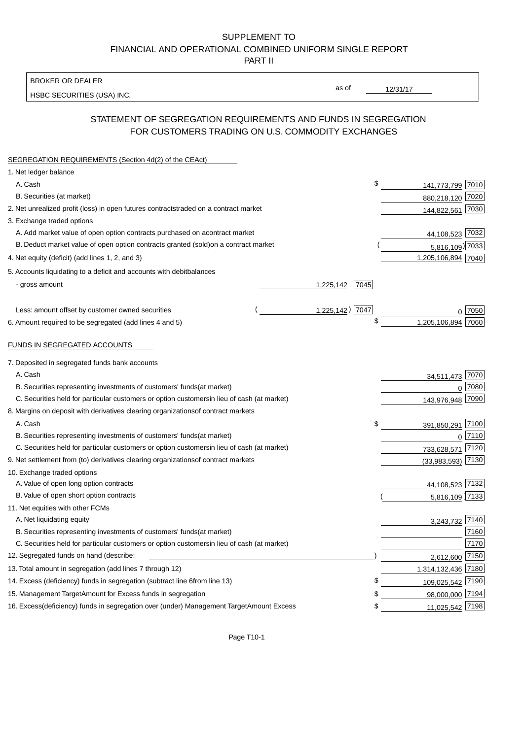BROKER OR DEALER

HSBC SECURITIES (USA) INC.

 $12/31/17$ 

as of

# STATEMENT OF SEGREGATION REQUIREMENTS AND FUNDS IN SEGREGATION FOR CUSTOMERS TRADING ON U.S. COMMODITY EXCHANGES

| SEGREGATION REQUIREMENTS (Section 4d(2) of the CEAct)                                          |                    |                    |        |
|------------------------------------------------------------------------------------------------|--------------------|--------------------|--------|
| 1. Net ledger balance                                                                          |                    |                    |        |
| A. Cash                                                                                        | \$                 | 141,773,799 7010   |        |
| B. Securities (at market)                                                                      |                    | 880,218,120 7020   |        |
| 2. Net unrealized profit (loss) in open futures contracts<br>traded on a contract market       |                    | 144,822,561 7030   |        |
| 3. Exchange traded options                                                                     |                    |                    |        |
| A. Add market value of open option contracts purchased on a<br>contract market                 |                    | 44,108,523 7032    |        |
| B. Deduct market value of open option contracts granted (sold)<br>on a contract market         |                    | 5,816,109) 7033    |        |
| 4. Net equity (deficit) (add lines 1, 2, and 3)                                                |                    | 1,205,106,894 7040 |        |
| 5. Accounts liquidating to a deficit and accounts with debit<br>balances                       |                    |                    |        |
| - gross amount                                                                                 | 7045<br>1,225,142  |                    |        |
|                                                                                                |                    |                    |        |
| Less: amount offset by customer owned securities                                               | $1,225,142$ ) 7047 |                    | 7050   |
| 6. Amount required to be segregated (add lines 4 and 5)                                        |                    | 1,205,106,894      | 7060   |
|                                                                                                |                    |                    |        |
| FUNDS IN SEGREGATED ACCOUNTS                                                                   |                    |                    |        |
| 7. Deposited in segregated funds bank accounts                                                 |                    |                    |        |
| A. Cash                                                                                        |                    | 34,511,473 7070    |        |
| B. Securities representing investments of customers' funds<br>(at market)                      |                    | $\Omega$           | 7080   |
| C. Securities held for particular customers or option customers<br>in lieu of cash (at market) |                    | 143,976,948        | 7090   |
| 8. Margins on deposit with derivatives clearing organizations<br>of contract markets           |                    |                    |        |
| A. Cash                                                                                        | \$                 | 391,850,291 7100   |        |
| B. Securities representing investments of customers' funds<br>(at market)                      |                    |                    | 0 7110 |
| C. Securities held for particular customers or option customers<br>in lieu of cash (at market) |                    | 733,628,571        | 7120   |
| 9. Net settlement from (to) derivatives clearing organizations<br>of contract markets          |                    | (33,983,593)       | 7130   |
| 10. Exchange traded options                                                                    |                    |                    |        |
| A. Value of open long option contracts                                                         |                    | 44,108,523 7132    |        |
| B. Value of open short option contracts                                                        |                    | 5,816,109 7133     |        |
| 11. Net equities with other FCMs                                                               |                    |                    |        |
| A. Net liquidating equity                                                                      |                    | 3,243,732 7140     |        |
| B. Securities representing investments of customers' funds<br>(at market)                      |                    |                    | 7160   |
| C. Securities held for particular customers or option customers<br>in lieu of cash (at market) |                    |                    | 7170   |
| 12. Segregated funds on hand (describe:                                                        |                    | 2,612,600 7150     |        |
| 13. Total amount in segregation (add lines 7 through 12)                                       |                    | 1,314,132,436 7180 |        |
| 14. Excess (deficiency) funds in segregation (subtract line 6<br>from line 13)                 | \$                 | 109,025,542 7190   |        |
| 15. Management Target Amount for Excess funds in segregation                                   | \$                 | 98,000,000 7194    |        |
| 16. Excess (deficiency) funds in segregation over (under) Management Target Amount Excess      | \$                 | 11,025,542 7198    |        |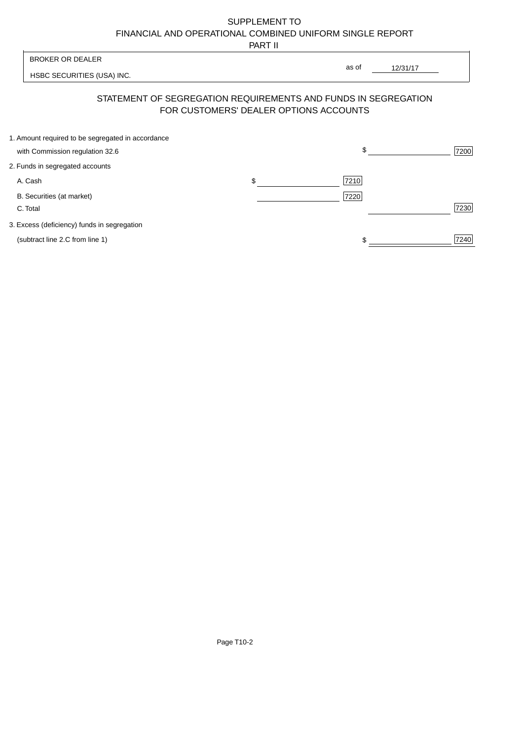PART II

 $\overline{\phantom{a}}$ 

| <b>BROKER OR DEALER</b>                                                              | as of                                                                                                    |      |
|--------------------------------------------------------------------------------------|----------------------------------------------------------------------------------------------------------|------|
| HSBC SECURITIES (USA) INC.                                                           | 12/31/17                                                                                                 |      |
|                                                                                      | STATEMENT OF SEGREGATION REQUIREMENTS AND FUNDS IN SEGREGATION<br>FOR CUSTOMERS' DEALER OPTIONS ACCOUNTS |      |
| 1. Amount required to be segregated in accordance<br>with Commission regulation 32.6 | \$                                                                                                       | 7200 |
| 2. Funds in segregated accounts                                                      |                                                                                                          |      |
| A. Cash                                                                              | \$<br>7210                                                                                               |      |
| B. Securities (at market)<br>C. Total                                                | 7220                                                                                                     | 7230 |
| 3. Excess (deficiency) funds in segregation                                          |                                                                                                          |      |
| (subtract line 2.C from line 1)                                                      | \$                                                                                                       | 7240 |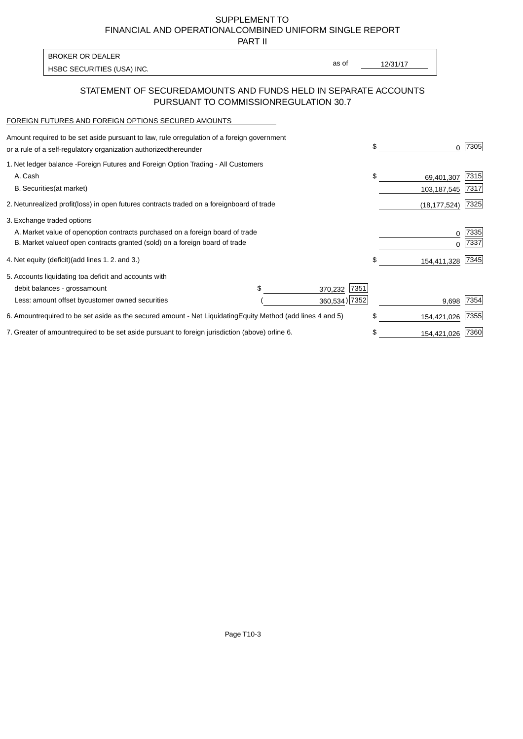PART II

HSBC SECURITIES (USA) INC. The second of the second of the second of the second of the second of the second of the second of the second of the second of the second of the second of the second of the second of the second of BROKER OR DEALER

as of

## STATEMENT OF SECURED AMOUNTS AND FUNDS HELD IN SEPARATE ACCOUNTS PURSUANT TO COMMISSION REGULATION 30.7

#### FOREIGN FUTURES AND FOREIGN OPTIONS SECURED AMOUNTS

| regulation of a foreign government<br>Amount required to be set aside pursuant to law, rule or<br>or a rule of a self-regulatory organization authorized<br>thereunder                       |                                   |                                  | \$<br><sup>0</sup>              | 7305         |
|----------------------------------------------------------------------------------------------------------------------------------------------------------------------------------------------|-----------------------------------|----------------------------------|---------------------------------|--------------|
| 1. Net ledger balance - Foreign Futures and Foreign Option Trading - All Customers<br>A. Cash<br><b>B.</b> Securities<br>(at market)                                                         |                                   |                                  | \$<br>69,401,307<br>103,187,545 | 7315<br>7317 |
| unrealized profit (loss) in open futures contracts traded on a foreign board of trade<br>2. Net                                                                                              |                                   |                                  | (18, 177, 524)                  | 7325         |
| 3. Exchange traded options<br>A. Market value of open option contracts purchased on a foreign board of trade<br>B. Market value of open contracts granted (sold) on a foreign board of trade |                                   |                                  | 0<br>$\Omega$                   | 7335<br>7337 |
| (add lines 1.2. and 3.)<br>4. Net equity (deficit)                                                                                                                                           |                                   |                                  | \$<br>154,411,328               | 7345         |
| 5. Accounts liquidating to a deficit and accounts with<br>debit balances - gross<br>amount<br>Less: amount offset by customer owned securities                                               |                                   | 7351<br>370,232<br>360,534) 7352 | 9,698                           | 7354         |
| 6. Amount required to be set aside as the secured amount - Net Liquidating                                                                                                                   | Equity Method (add lines 4 and 5) |                                  | \$<br>154,421,026               | 7355         |
| 7. Greater of amount required to be set aside pursuant to foreign jurisdiction (above) or line 6.                                                                                            |                                   |                                  | 154,421,026                     | 7360         |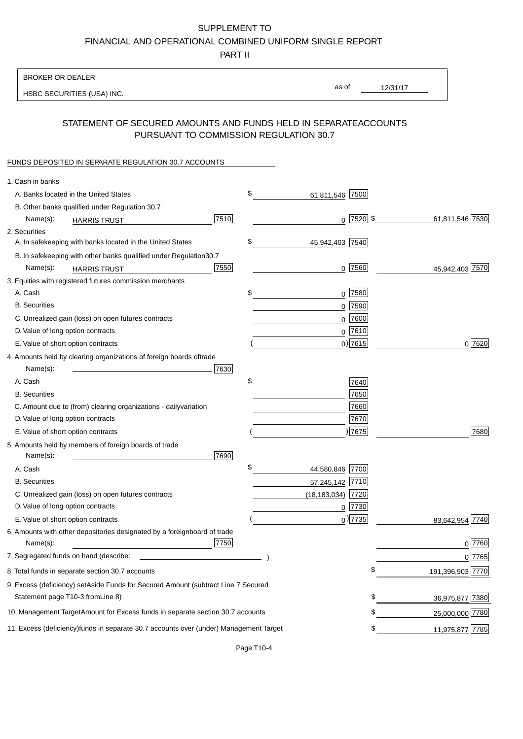PART II

| <b>BROKER OR DEALER</b>                                                                                                                                                                                                                                                        |                       |                 |                  |
|--------------------------------------------------------------------------------------------------------------------------------------------------------------------------------------------------------------------------------------------------------------------------------|-----------------------|-----------------|------------------|
| HSBC SECURITIES (USA) INC.                                                                                                                                                                                                                                                     | as of                 | 12/31/17        |                  |
|                                                                                                                                                                                                                                                                                |                       |                 |                  |
| STATEMENT OF SECURED AMOUNTS AND FUNDS HELD IN SEPARATE<br>PURSUANT TO COMMISSION REGULATION 30.7                                                                                                                                                                              |                       | <b>ACCOUNTS</b> |                  |
| FUNDS DEPOSITED IN SEPARATE REGULATION 30.7 ACCOUNTS                                                                                                                                                                                                                           |                       |                 |                  |
| 1. Cash in banks                                                                                                                                                                                                                                                               |                       |                 |                  |
| A. Banks located in the United States                                                                                                                                                                                                                                          | \$<br>61,811,546 7500 |                 |                  |
| B. Other banks qualified under Regulation 30.7                                                                                                                                                                                                                                 |                       |                 |                  |
| 7510<br>Name(s):<br><b>HARRIS TRUST</b>                                                                                                                                                                                                                                        | $0$   7520   \$       |                 | 61,811,546 7530  |
| 2. Securities                                                                                                                                                                                                                                                                  |                       |                 |                  |
| A. In safekeeping with banks located in the United States                                                                                                                                                                                                                      | \$<br>45,942,403 7540 |                 |                  |
| B. In safekeeping with other banks qualified under Regulation<br>30.7                                                                                                                                                                                                          |                       |                 |                  |
| 7550<br>Name(s):<br><b>HARRIS TRUST</b>                                                                                                                                                                                                                                        | $0$ 7560              |                 | 45,942,403 7570  |
| 3. Equities with registered futures commission merchants                                                                                                                                                                                                                       |                       |                 |                  |
| A. Cash                                                                                                                                                                                                                                                                        | \$<br>$0$ 7580        |                 |                  |
| <b>B.</b> Securities                                                                                                                                                                                                                                                           | $0$ 7590              |                 |                  |
| C. Unrealized gain (loss) on open futures contracts                                                                                                                                                                                                                            | 7600<br>0             |                 |                  |
| D. Value of long option contracts                                                                                                                                                                                                                                              | $0$ 7610              |                 |                  |
| E. Value of short option contracts                                                                                                                                                                                                                                             | 0 7615                |                 | 0 7620           |
| 4. Amounts held by clearing organizations of foreign boards of<br>trade                                                                                                                                                                                                        |                       |                 |                  |
| Name(s):<br>7630                                                                                                                                                                                                                                                               |                       |                 |                  |
| A. Cash                                                                                                                                                                                                                                                                        | \$<br>7640            |                 |                  |
| <b>B.</b> Securities                                                                                                                                                                                                                                                           | 7650                  |                 |                  |
| C. Amount due to (from) clearing organizations - daily<br>variation                                                                                                                                                                                                            | 7660                  |                 |                  |
| D. Value of long option contracts                                                                                                                                                                                                                                              | 7670                  |                 |                  |
| E. Value of short option contracts                                                                                                                                                                                                                                             | 7675                  |                 | 7680             |
| 5. Amounts held by members of foreign boards of trade<br>Name(s):<br>7690                                                                                                                                                                                                      |                       |                 |                  |
| A. Cash                                                                                                                                                                                                                                                                        | \$<br>44,580,846 7700 |                 |                  |
| <b>B.</b> Securities                                                                                                                                                                                                                                                           | 57,245,142 7710       |                 |                  |
| C. Unrealized gain (loss) on open futures contracts                                                                                                                                                                                                                            | $(18, 183, 034)$ 7720 |                 |                  |
| D. Value of long option contracts                                                                                                                                                                                                                                              | $0$  7730             |                 |                  |
| E. Value of short option contracts                                                                                                                                                                                                                                             | $_0$ ) 7735           |                 | 83,642,954 7740  |
| 6. Amounts with other depositories designated by a foreign<br>board of trade<br>7750<br>Name(s):                                                                                                                                                                               |                       |                 | 0 7760           |
| 7. Segregated funds on hand (describe:<br><u>state and the state of the state of the state of the state of the state of the state of the state of the state of the state of the state of the state of the state of the state of the state of the state of the state of the</u> |                       |                 | 0 7765           |
| 8. Total funds in separate section 30.7 accounts                                                                                                                                                                                                                               |                       | \$              | 191,396,903 7770 |
| 9. Excess (deficiency) set Aside Funds for Secured Amount (subtract Line 7 Secured                                                                                                                                                                                             |                       |                 |                  |
| Statement page T10-3 from Line 8)                                                                                                                                                                                                                                              |                       | \$              | 36,975,877 7380  |
| 10. Management Target Amount for Excess funds in separate section 30.7 accounts                                                                                                                                                                                                |                       | \$              | 25,000,000 7780  |
|                                                                                                                                                                                                                                                                                |                       |                 |                  |
| 11. Excess (deficiency) funds in separate 30.7 accounts over (under) Management Target                                                                                                                                                                                         |                       | \$              | 11,975,877 7785  |

Page T10-4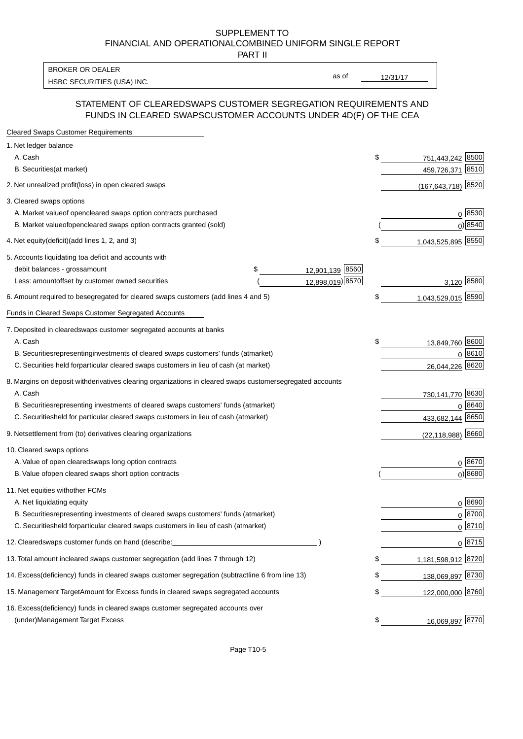PART II

HSBC SECURITIES (USA) INC. The state of the second second second second second second second second second second second second second second second second second second second second second second second second second sec BROKER OR DEALER

as of

### STATEMENT OF CLEARED SWAPS CUSTOMER SEGREGATION REQUIREMENTS AND FUNDS IN CLEARED SWAPS CUSTOMER ACCOUNTS UNDER 4D(F) OF THE CEA

| <b>Cleared Swaps Customer Requirements</b>                                                                  |    |                        |               |
|-------------------------------------------------------------------------------------------------------------|----|------------------------|---------------|
| 1. Net ledger balance                                                                                       |    |                        |               |
| A. Cash                                                                                                     | \$ | 751,443,242 8500       |               |
| B. Securities (at market)                                                                                   |    | 459,726,371            | 8510          |
| 2. Net unrealized profit (loss) in open cleared swaps                                                       |    | $(167, 643, 718)$ 8520 |               |
| 3. Cleared swaps options                                                                                    |    |                        |               |
| A. Market value of open cleared swaps option contracts purchased                                            |    |                        | 0   8530      |
| B. Market value of open cleared swaps option contracts granted (sold)                                       |    |                        | $0)$ 8540     |
| 4. Net equity (deficit) (add lines 1, 2, and 3)                                                             | \$ | 1,043,525,895 8550     |               |
| 5. Accounts liquidating to a deficit and accounts with                                                      |    |                        |               |
| 12,901,139 8560<br>debit balances - gross<br>\$<br>amount                                                   |    |                        |               |
| 12,898,019) 8570<br>Less: amount offset by customer owned securities                                        |    | 3,120 8580             |               |
| 6. Amount required to be segregated for cleared swaps customers (add lines 4 and 5)                         | S  | 1,043,529,015 8590     |               |
| Funds in Cleared Swaps Customer Segregated Accounts                                                         |    |                        |               |
| 7. Deposited in cleared swaps customer segregated accounts at banks                                         |    |                        |               |
| A. Cash                                                                                                     | \$ | 13,849,760 8600        |               |
| B. Securities representing investments of cleared swaps customers' funds (at market)                        |    |                        | 0 8610        |
| C. Securities held for particular cleared swaps customers in lieu of cash (at market)                       |    | 26,044,226             | 8620          |
| 8. Margins on deposit with derivatives clearing organizations in cleared swaps customer segregated accounts |    |                        |               |
| A. Cash                                                                                                     |    | 730,141,770 8630       |               |
| representing investments of cleared swaps customers' funds (at market)<br><b>B.</b> Securities              |    | 0                      | 8640          |
| C. Securities held for particular cleared swaps customers in lieu of cash (at market)                       |    | 433,682,144            | 8650          |
| 9. Net settlement from (to) derivatives clearing organizations                                              |    | $(22, 118, 988)$ 8660  |               |
| 10. Cleared swaps options                                                                                   |    |                        |               |
| A. Value of open cleared swaps long option contracts                                                        |    |                        | $0^{8670}$    |
| B. Value of open cleared swaps short option contracts                                                       |    |                        | $0$ ) 8680    |
| 11. Net equities with other FCMs                                                                            |    |                        |               |
| A. Net liquidating equity                                                                                   |    |                        | $0^{8690}$    |
| B. Securities representing investments of cleared swaps customers' funds (at market)                        |    |                        | $0^{8700}$    |
| C. Securities held for particular cleared swaps customers in lieu of cash (at market)                       |    |                        | 0 8710        |
| 12. Cleared swaps customer funds on hand (describe:                                                         |    |                        | $0 \;  8715 $ |
| 13. Total amount in cleared swaps customer segregation (add lines 7 through 12)                             | S  | 1,181,598,912 8720     |               |
| 14. Excess (deficiency) funds in cleared swaps customer segregation (subtract line 6 from line 13)          |    | 138,069,897 8730       |               |
| 15. Management Target Amount for Excess funds in cleared swaps segregated accounts                          | \$ | 122,000,000 8760       |               |
| 16. Excess<br>(deficiency) funds in cleared swaps customer segregated accounts over                         |    |                        |               |
| <b>Management Target Excess</b><br>(under)                                                                  | \$ | 16,069,897 8770        |               |